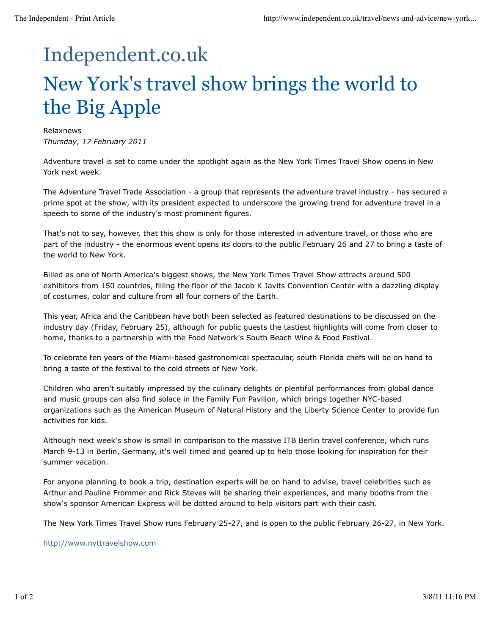## Independent.co.uk New York's travel show brings the world to the Big Apple

Relaxnews *Thursday, 17 February 2011*

Adventure travel is set to come under the spotlight again as the New York Times Travel Show opens in New York next week.

The Adventure Travel Trade Association - a group that represents the adventure travel industry - has secured a prime spot at the show, with its president expected to underscore the growing trend for adventure travel in a speech to some of the industry's most prominent figures.

That's not to say, however, that this show is only for those interested in adventure travel, or those who are part of the industry - the enormous event opens its doors to the public February 26 and 27 to bring a taste of the world to New York.

Billed as one of North America's biggest shows, the New York Times Travel Show attracts around 500 exhibitors from 150 countries, filling the floor of the Jacob K Javits Convention Center with a dazzling display of costumes, color and culture from all four corners of the Earth.

This year, Africa and the Caribbean have both been selected as featured destinations to be discussed on the industry day (Friday, February 25), although for public guests the tastiest highlights will come from closer to home, thanks to a partnership with the Food Network's South Beach Wine & Food Festival.

To celebrate ten years of the Miami-based gastronomical spectacular, south Florida chefs will be on hand to bring a taste of the festival to the cold streets of New York.

Children who aren't suitably impressed by the culinary delights or plentiful performances from global dance and music groups can also find solace in the Family Fun Pavilion, which brings together NYC-based organizations such as the American Museum of Natural History and the Liberty Science Center to provide fun activities for kids.

Although next week's show is small in comparison to the massive ITB Berlin travel conference, which runs March 9-13 in Berlin, Germany, it's well timed and geared up to help those looking for inspiration for their summer vacation.

For anyone planning to book a trip, destination experts will be on hand to advise, travel celebrities such as Arthur and Pauline Frommer and Rick Steves will be sharing their experiences, and many booths from the show's sponsor American Express will be dotted around to help visitors part with their cash.

The New York Times Travel Show runs February 25-27, and is open to the public February 26-27, in New York.

http://www.nyttravelshow.com